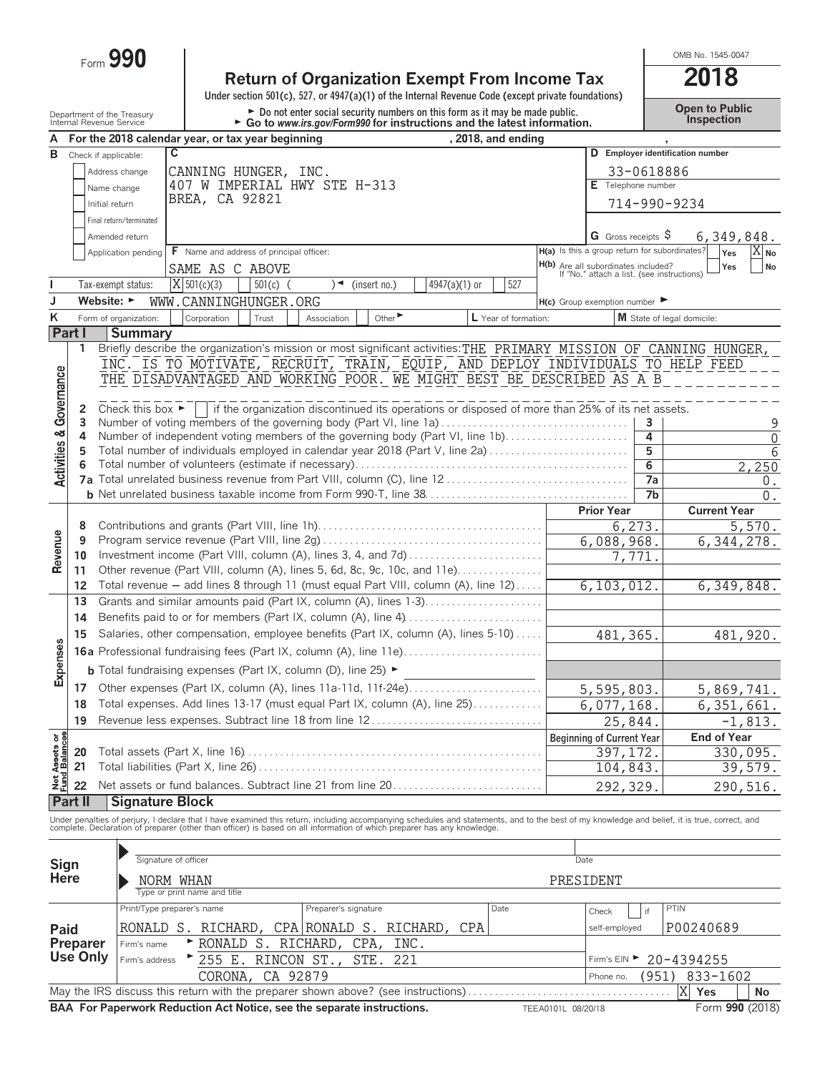Form **990**

## **Return of Organization Exempt From Income Tax 2018**

**Under section 501(c), 527, or 4947(a)(1) of the Internal Revenue Code (except private foundations)**

Department of the Treasury **Depent to Public**<br>Internal Revenue Service **Community Form of the Contingly of Convert Contingly Form 990 for instructions and the latest information. The Convention of the prection** 

OMB No. 1545-0047

|                                    |                 | internai Revenue Service                                                  | $\blacktriangleright$ Go to www.irs.gov/Form990 for instructions and the latest information.                                                                                                                                      |                                                                                          |                    |                       |                                  |  |
|------------------------------------|-----------------|---------------------------------------------------------------------------|-----------------------------------------------------------------------------------------------------------------------------------------------------------------------------------------------------------------------------------|------------------------------------------------------------------------------------------|--------------------|-----------------------|----------------------------------|--|
| A                                  |                 |                                                                           | For the 2018 calendar year, or tax year beginning<br>, 2018, and ending                                                                                                                                                           |                                                                                          |                    |                       |                                  |  |
| в                                  |                 | Check if applicable:                                                      | $\mathbf c$                                                                                                                                                                                                                       |                                                                                          |                    |                       | D Employer identification number |  |
|                                    |                 | Address change                                                            | CANNING HUNGER, INC.                                                                                                                                                                                                              |                                                                                          |                    | 33-0618886            |                                  |  |
|                                    |                 | Name change                                                               | 407 W IMPERIAL HWY STE H-313                                                                                                                                                                                                      |                                                                                          | E Telephone number |                       |                                  |  |
|                                    |                 | Initial return                                                            | BREA, CA 92821                                                                                                                                                                                                                    |                                                                                          |                    |                       | 714-990-9234                     |  |
|                                    |                 | Final return/terminated                                                   |                                                                                                                                                                                                                                   |                                                                                          |                    |                       |                                  |  |
|                                    |                 | Amended return                                                            |                                                                                                                                                                                                                                   |                                                                                          |                    | G Gross receipts $\$$ | 6,349,848.                       |  |
|                                    |                 | Application pending                                                       | F Name and address of principal officer:                                                                                                                                                                                          | H(a) Is this a group return for subordinates?                                            |                    |                       | Yes<br>$X_{\mathsf{No}}$         |  |
|                                    |                 |                                                                           | SAME AS C ABOVE                                                                                                                                                                                                                   | <b>H(b)</b> Are all subordinates included?<br>If "No," attach a list. (see instructions) |                    |                       | Yes<br>No                        |  |
| I.                                 |                 | Tax-exempt status:                                                        | $X$ 501(c)(3)<br>(insert no.)<br>4947(a)(1) or<br>527<br>$501(c)$ (<br>$\rightarrow$                                                                                                                                              |                                                                                          |                    |                       |                                  |  |
| J                                  |                 | Website: $\blacktriangleright$                                            |                                                                                                                                                                                                                                   |                                                                                          |                    |                       |                                  |  |
|                                    |                 |                                                                           | WWW.CANNINGHUNGER.ORG                                                                                                                                                                                                             | $H(c)$ Group exemption number $\blacktriangleright$                                      |                    |                       |                                  |  |
| Κ                                  |                 | Form of organization:                                                     | Other $\blacktriangleright$<br>L Year of formation:<br>Corporation<br>Trust<br>Association                                                                                                                                        |                                                                                          |                    |                       | M State of legal domicile:       |  |
|                                    | Part I          | <b>Summary</b>                                                            |                                                                                                                                                                                                                                   |                                                                                          |                    |                       |                                  |  |
|                                    | 1               |                                                                           | Briefly describe the organization's mission or most significant activities: THE PRIMARY MISSION OF CANNING HUNGER,                                                                                                                |                                                                                          |                    |                       |                                  |  |
|                                    |                 |                                                                           | INC. IS TO MOTIVATE, RECRUIT, TRAIN, EQUIP, AND DEPLOY INDIVIDUALS TO HELP FEED                                                                                                                                                   |                                                                                          |                    |                       |                                  |  |
|                                    |                 |                                                                           | THE DISADVANTAGED AND WORKING POOR. WE MIGHT BEST BE DESCRIBED AS A B                                                                                                                                                             |                                                                                          |                    |                       |                                  |  |
|                                    |                 |                                                                           |                                                                                                                                                                                                                                   |                                                                                          |                    |                       |                                  |  |
|                                    | 2<br>3          | Check this box $\blacktriangleright$                                      | if the organization discontinued its operations or disposed of more than 25% of its net assets.<br>Number of voting members of the governing body (Part VI, line 1a)                                                              |                                                                                          |                    | 3                     |                                  |  |
|                                    | 4               |                                                                           | Number of independent voting members of the governing body (Part VI, line 1b)                                                                                                                                                     |                                                                                          |                    | 4                     | 9<br>$\overline{0}$              |  |
|                                    | 5               |                                                                           | Total number of individuals employed in calendar year 2018 (Part V, line 2a)                                                                                                                                                      |                                                                                          |                    | 5                     | $\overline{6}$                   |  |
|                                    | 6               |                                                                           |                                                                                                                                                                                                                                   |                                                                                          |                    | $\overline{6}$        | 2,250                            |  |
| <b>Activities &amp; Governance</b> |                 |                                                                           |                                                                                                                                                                                                                                   |                                                                                          |                    | 7a                    | 0.                               |  |
|                                    |                 |                                                                           |                                                                                                                                                                                                                                   |                                                                                          |                    | 7 <sub>b</sub>        | $0$ .                            |  |
|                                    |                 |                                                                           |                                                                                                                                                                                                                                   |                                                                                          | <b>Prior Year</b>  |                       | <b>Current Year</b>              |  |
|                                    | 8               |                                                                           |                                                                                                                                                                                                                                   |                                                                                          |                    | 6,273.                | 5,570.                           |  |
| Revenue                            | 9               |                                                                           |                                                                                                                                                                                                                                   |                                                                                          | 6,088,968.         |                       | 6,344,278.                       |  |
|                                    | 10              |                                                                           |                                                                                                                                                                                                                                   |                                                                                          | 7,771              |                       |                                  |  |
|                                    | 11              |                                                                           | Other revenue (Part VIII, column (A), lines 5, 6d, 8c, 9c, 10c, and 11e)                                                                                                                                                          |                                                                                          |                    |                       |                                  |  |
|                                    | 12              |                                                                           | Total revenue - add lines 8 through 11 (must equal Part VIII, column (A), line 12)                                                                                                                                                |                                                                                          | 6, 103, 012.       |                       | 6, 349, 848.                     |  |
|                                    | 13              |                                                                           | Grants and similar amounts paid (Part IX, column (A), lines 1-3)                                                                                                                                                                  |                                                                                          |                    |                       |                                  |  |
|                                    | 14              |                                                                           |                                                                                                                                                                                                                                   |                                                                                          |                    |                       |                                  |  |
|                                    | 15              |                                                                           | Salaries, other compensation, employee benefits (Part IX, column (A), lines 5-10)                                                                                                                                                 |                                                                                          | 481, 365.          |                       | 481,920.                         |  |
| Expenses                           |                 |                                                                           |                                                                                                                                                                                                                                   |                                                                                          |                    |                       |                                  |  |
|                                    |                 |                                                                           | <b>b</b> Total fundraising expenses (Part IX, column (D), line 25) $\blacktriangleright$                                                                                                                                          |                                                                                          |                    |                       |                                  |  |
|                                    |                 |                                                                           |                                                                                                                                                                                                                                   |                                                                                          |                    |                       |                                  |  |
|                                    | 17              |                                                                           | Other expenses (Part IX, column (A), lines 11a-11d, 11f-24e)                                                                                                                                                                      |                                                                                          | 5,595,803.         |                       | 5,869,741.                       |  |
|                                    | 18              | Total expenses. Add lines 13-17 (must equal Part IX, column (A), line 25) |                                                                                                                                                                                                                                   |                                                                                          |                    | 6,077,168.            | 6,351,661.                       |  |
|                                    |                 | Revenue less expenses. Subtract line 18 from line 12<br>19                |                                                                                                                                                                                                                                   |                                                                                          | 25,844             |                       | $-1,813.$                        |  |
| Net Assets or<br>Fund Balances     |                 |                                                                           |                                                                                                                                                                                                                                   | <b>Beginning of Current Year</b>                                                         |                    |                       | <b>End of Year</b>               |  |
|                                    | 20              |                                                                           |                                                                                                                                                                                                                                   |                                                                                          | 397, 172.          |                       | 330,095.                         |  |
|                                    | 21              |                                                                           |                                                                                                                                                                                                                                   |                                                                                          | 104,843.           |                       | 39,579.                          |  |
|                                    | 22              |                                                                           | Net assets or fund balances. Subtract line 21 from line 20                                                                                                                                                                        |                                                                                          | 292,329.           |                       | 290,516.                         |  |
|                                    | Part II         | <b>Signature Block</b>                                                    |                                                                                                                                                                                                                                   |                                                                                          |                    |                       |                                  |  |
|                                    |                 |                                                                           | Under penalties of perjury, I declare that I have examined this return, including accompanying schedules and statements, and to the best of my knowledge and belief, it is true, correct, and<br>complete. Declaration of prepare |                                                                                          |                    |                       |                                  |  |
|                                    |                 |                                                                           |                                                                                                                                                                                                                                   |                                                                                          |                    |                       |                                  |  |
|                                    |                 |                                                                           |                                                                                                                                                                                                                                   |                                                                                          |                    |                       |                                  |  |
| Sign                               |                 |                                                                           | Signature of officer                                                                                                                                                                                                              | Date                                                                                     |                    |                       |                                  |  |
| Here                               |                 |                                                                           | NORM WHAN                                                                                                                                                                                                                         | PRESIDENT                                                                                |                    |                       |                                  |  |
|                                    |                 |                                                                           | Type or print name and title                                                                                                                                                                                                      |                                                                                          |                    |                       |                                  |  |
| Paid<br>Preparer                   |                 |                                                                           | Print/Type preparer's name<br>Preparer's signature<br>Date                                                                                                                                                                        | Check                                                                                    |                    | if                    | PTIN                             |  |
|                                    |                 |                                                                           | RONALD S. RICHARD, CPA RONALD S. RICHARD, CPA                                                                                                                                                                                     |                                                                                          | self-employed      |                       | P00240689                        |  |
|                                    |                 | Firm's name                                                               | RONALD S. RICHARD,<br>CPA,<br>INC.                                                                                                                                                                                                |                                                                                          |                    |                       |                                  |  |
|                                    | <b>Use Only</b> | Firm's address                                                            | ▶ 255 E. RINCON ST.,<br>STE.<br>221                                                                                                                                                                                               |                                                                                          |                    |                       | Firm's EIN ► 20-4394255          |  |
|                                    |                 |                                                                           | CORONA,<br>CA 92879                                                                                                                                                                                                               |                                                                                          | Phone no.          | (951)                 | 833-1602                         |  |
|                                    |                 |                                                                           | May the IRS discuss this return with the preparer shown above? (see instructions)                                                                                                                                                 |                                                                                          |                    |                       | X<br>Yes<br>No                   |  |
|                                    |                 |                                                                           | BAA For Paperwork Reduction Act Notice, see the separate instructions.                                                                                                                                                            | TEEA0101L 08/20/18                                                                       |                    |                       | Form 990 (2018)                  |  |
|                                    |                 |                                                                           |                                                                                                                                                                                                                                   |                                                                                          |                    |                       |                                  |  |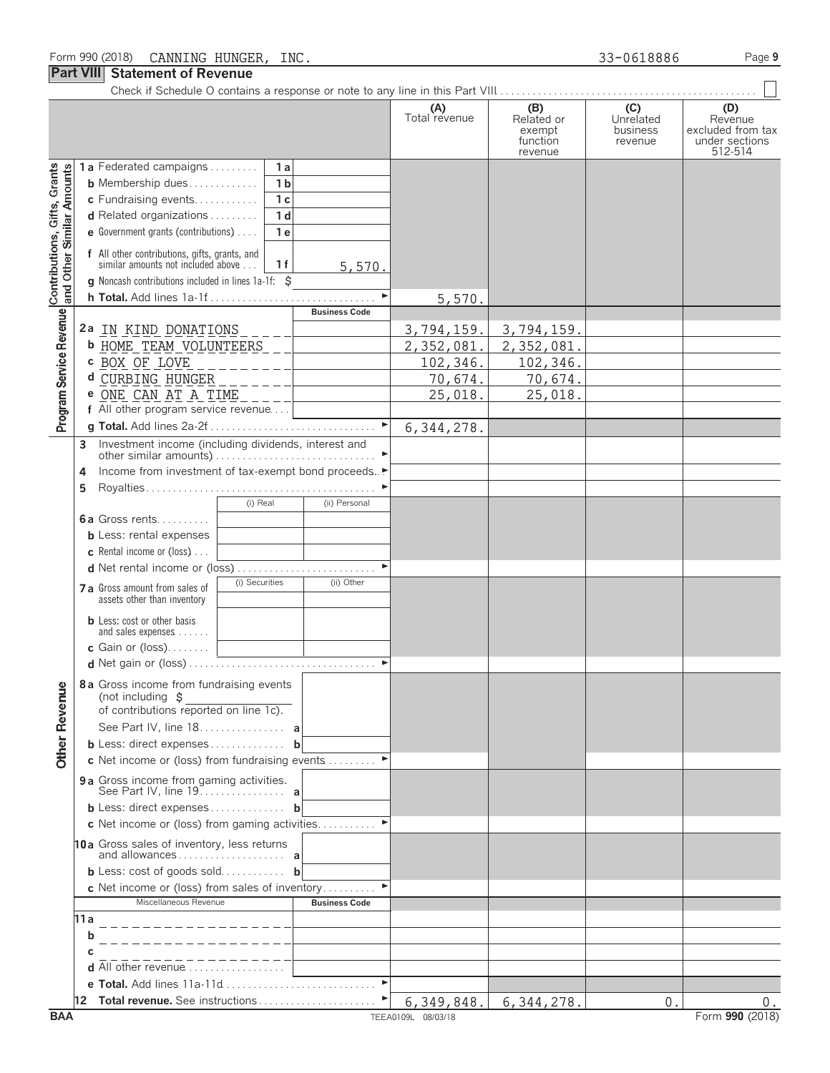**1 a** Federated campaigns. . . . . . . . . . **1 a**

Check if Schedule O contains a response or note to any line in this Part VIII. . . . . . . . . . . . . . . . . . . . . . . . . . . . . . . . . . . . . . . . . . . . . . . . .

| (A)<br>Total revenue | B)<br>Related or<br>exempt<br>function<br>revenue | Unrelated<br>business<br>revenue | Revenue<br>excluded from tax<br>under sections<br>512-514 |
|----------------------|---------------------------------------------------|----------------------------------|-----------------------------------------------------------|
|                      |                                                   |                                  |                                                           |

|                                                       | <b>b</b> Membership dues<br>1 <sub>b</sub>                                                             |                    |              |    |                 |
|-------------------------------------------------------|--------------------------------------------------------------------------------------------------------|--------------------|--------------|----|-----------------|
|                                                       | 1c<br>c Fundraising events                                                                             |                    |              |    |                 |
|                                                       | 1d<br>d Related organizations                                                                          |                    |              |    |                 |
|                                                       | e Government grants (contributions)<br>1e                                                              |                    |              |    |                 |
| Contributions, Gifts, Gran<br>and Other Similar Amoun | f All other contributions, gifts, grants, and<br>similar amounts not included above<br>1f<br>5,570.    |                    |              |    |                 |
|                                                       | g Noncash contributions included in lines 1a-1f: \$                                                    |                    |              |    |                 |
|                                                       |                                                                                                        | 5,570.             |              |    |                 |
|                                                       | <b>Business Code</b>                                                                                   |                    |              |    |                 |
|                                                       | <sup>2</sup> a <u>IN KIND DONATIONS</u>                                                                | 3,794,159.         | 3,794,159.   |    |                 |
|                                                       | b HOME TEAM VOLUNTEERS _                                                                               | 2,352,081.         | 2,352,081.   |    |                 |
|                                                       |                                                                                                        | 102,346.           | 102,346.     |    |                 |
|                                                       |                                                                                                        | 70,674.            | 70,674.      |    |                 |
|                                                       | e ONE CAN AT A TIME _ _ _ _ _ _ _ _ _ _ _ _ _                                                          | 25,018.            | 25,018.      |    |                 |
| Program Service Revenue                               | f All other program service revenue                                                                    |                    |              |    |                 |
|                                                       |                                                                                                        | 6, 344, 278.       |              |    |                 |
|                                                       | 3                                                                                                      |                    |              |    |                 |
|                                                       |                                                                                                        |                    |              |    |                 |
|                                                       | Income from investment of tax-exempt bond proceeds▶<br>4                                               |                    |              |    |                 |
|                                                       | 5                                                                                                      |                    |              |    |                 |
|                                                       | (i) Real<br>(ii) Personal                                                                              |                    |              |    |                 |
|                                                       | <b>6a</b> Gross rents                                                                                  |                    |              |    |                 |
|                                                       | <b>b</b> Less: rental expenses<br><b>c</b> Rental income or (loss) $\ldots$                            |                    |              |    |                 |
|                                                       | d Net rental income or (loss)                                                                          |                    |              |    |                 |
|                                                       | (i) Securities<br>(ii) Other                                                                           |                    |              |    |                 |
|                                                       | 7 a Gross amount from sales of<br>assets other than inventory                                          |                    |              |    |                 |
|                                                       | <b>b</b> Less: cost or other basis<br>and sales expenses                                               |                    |              |    |                 |
|                                                       | c Gain or $(loss)$<br><u> 1980 - Johann Barnett, fransk politiker</u>                                  |                    |              |    |                 |
|                                                       |                                                                                                        |                    |              |    |                 |
| <b>Other Revenue</b>                                  | 8a Gross income from fundraising events<br>(not including \$<br>of contributions reported on line 1c). |                    |              |    |                 |
|                                                       | See Part IV, line 18. a                                                                                |                    |              |    |                 |
|                                                       | <b>b</b> Less: direct expenses <b>b</b>                                                                |                    |              |    |                 |
|                                                       | c Net income or (loss) from fundraising events                                                         |                    |              |    |                 |
|                                                       | 9 a Gross income from gaming activities.<br>See Part IV, line 19                                       |                    |              |    |                 |
|                                                       | <b>b</b> Less: direct expenses <b>b</b>                                                                |                    |              |    |                 |
|                                                       | c Net income or (loss) from gaming activities                                                          |                    |              |    |                 |
|                                                       | 10a Gross sales of inventory, less returns                                                             |                    |              |    |                 |
|                                                       | <b>b</b> Less: cost of goods sold <b>b</b>                                                             |                    |              |    |                 |
|                                                       | c Net income or (loss) from sales of inventory                                                         |                    |              |    |                 |
|                                                       | Miscellaneous Revenue<br><b>Business Code</b>                                                          |                    |              |    |                 |
|                                                       | 11 a                                                                                                   |                    |              |    |                 |
|                                                       | h                                                                                                      |                    |              |    |                 |
|                                                       |                                                                                                        |                    |              |    |                 |
|                                                       | <b>d</b> All other revenue $\ldots$                                                                    |                    |              |    |                 |
|                                                       | $\blacktriangleright$                                                                                  |                    |              |    |                 |
|                                                       | <b>12 Total revenue.</b> See instructions                                                              | 6,349,848.         | 6, 344, 278. | 0. | 0.              |
| <b>BAA</b>                                            |                                                                                                        | TEEA0109L 08/03/18 |              |    | Form 990 (2018) |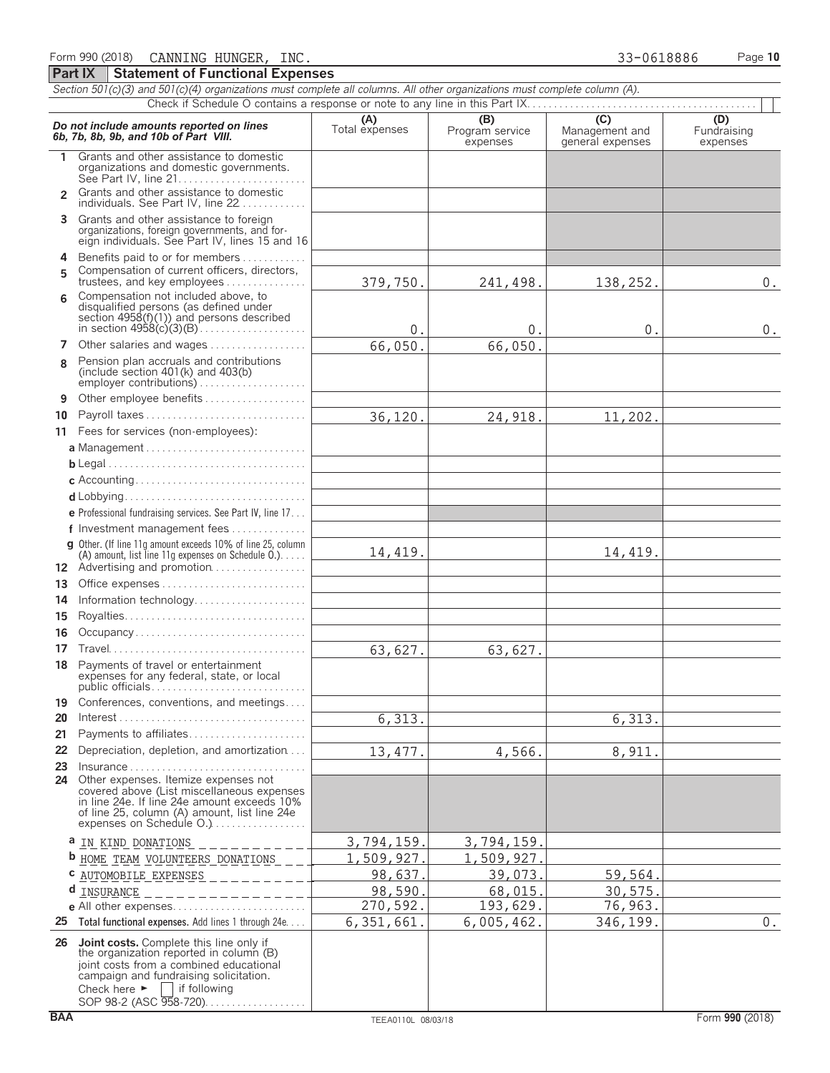Form 990 (2018) Page **10** CANNING HUNGER, INC. 33-0618886

*Section 501(c)(3) and 501(c)(4) organizations must complete all columns. All other organizations must complete column (A).*

**Part IX Statement of Functional Expenses**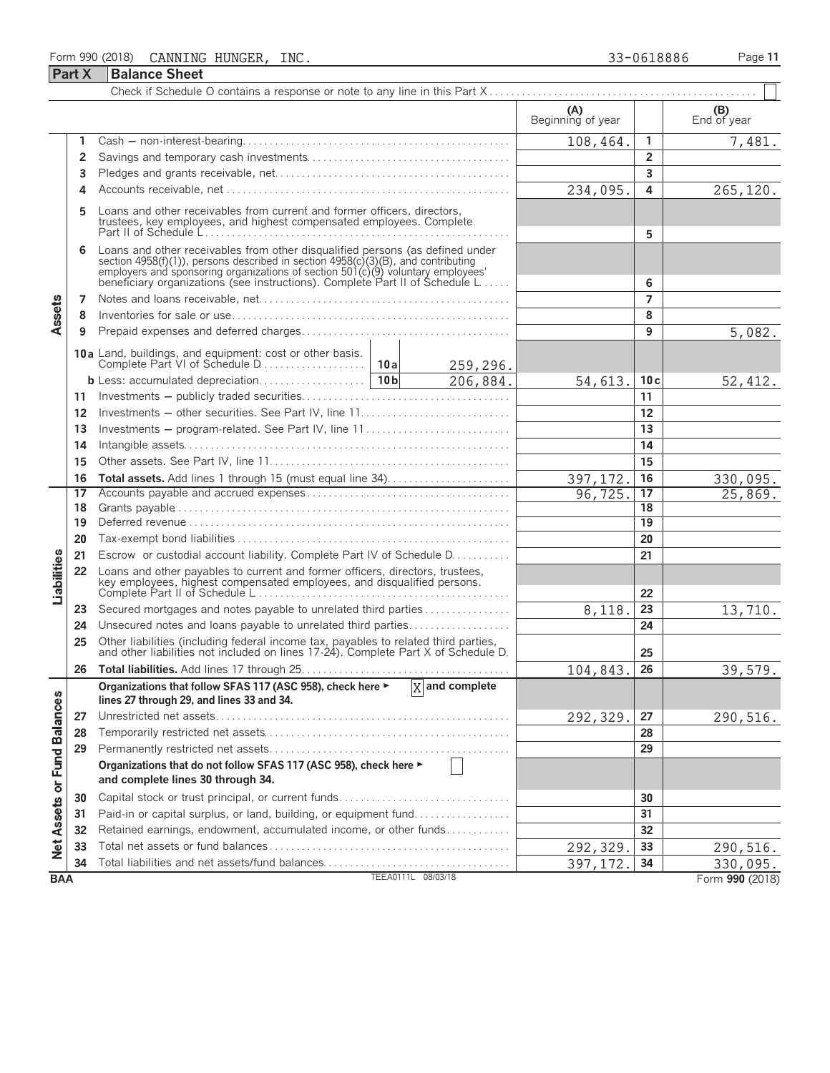## Form 990 (2018) Page **11** CANNING HUNGER, INC. 33-0618886

| c |  |  |
|---|--|--|
| c |  |  |

|                             | <b>Part X</b>                    | <b>Balance Sheet</b>                                                                                                                                                                                                                                                                                                 |                             |                          |                |                    |
|-----------------------------|----------------------------------|----------------------------------------------------------------------------------------------------------------------------------------------------------------------------------------------------------------------------------------------------------------------------------------------------------------------|-----------------------------|--------------------------|----------------|--------------------|
|                             |                                  |                                                                                                                                                                                                                                                                                                                      |                             |                          |                |                    |
|                             |                                  |                                                                                                                                                                                                                                                                                                                      |                             | (A)<br>Beginning of year |                | (B)<br>End of year |
|                             |                                  |                                                                                                                                                                                                                                                                                                                      |                             | 108,464.                 | $\mathbf{1}$   | 7,481.             |
|                             | 2                                |                                                                                                                                                                                                                                                                                                                      |                             | $\overline{2}$           |                |                    |
|                             | 3                                |                                                                                                                                                                                                                                                                                                                      |                             | 3                        |                |                    |
|                             | 4                                |                                                                                                                                                                                                                                                                                                                      | 234,095.                    | 4                        | 265,120.       |                    |
|                             |                                  | Loans and other receivables from current and former officers, directors,<br>trustees, key employees, and highest compensated employees. Complete                                                                                                                                                                     |                             | 5                        |                |                    |
|                             | 6                                | Loans and other receivables from other disqualified persons (as defined under<br>section 4958(f)(1)), persons described in section 4958(c)(3)(B), and contributing<br>employers and sponsoring organizations of section 501(c)(9) voluntary employees'<br>beneficiary organizations (see instructions). Complete Par |                             | 6                        |                |                    |
|                             | 7                                |                                                                                                                                                                                                                                                                                                                      |                             |                          | $\overline{7}$ |                    |
| Assets                      | 8                                |                                                                                                                                                                                                                                                                                                                      |                             |                          | 8              |                    |
|                             | 9                                |                                                                                                                                                                                                                                                                                                                      |                             |                          | 9              | 5,082.             |
|                             |                                  |                                                                                                                                                                                                                                                                                                                      | 259,296.                    |                          |                |                    |
|                             |                                  |                                                                                                                                                                                                                                                                                                                      | 206,884.                    | 54,613.                  | 10c            | 52,412.            |
|                             | 11                               |                                                                                                                                                                                                                                                                                                                      |                             |                          | 11             |                    |
|                             | 12                               | Investments - other securities. See Part IV, line 11                                                                                                                                                                                                                                                                 |                             |                          | 12             |                    |
|                             | 13                               | Investments - program-related. See Part IV, line 11                                                                                                                                                                                                                                                                  |                             |                          | 13             |                    |
|                             | 14                               |                                                                                                                                                                                                                                                                                                                      |                             | 14                       |                |                    |
|                             | 15                               |                                                                                                                                                                                                                                                                                                                      |                             | 15                       |                |                    |
|                             | 16                               |                                                                                                                                                                                                                                                                                                                      | 397,172                     | 16                       | 330,095.       |                    |
|                             | 17                               |                                                                                                                                                                                                                                                                                                                      |                             | 96, 725.                 | 17             | 25,869.            |
|                             | 18                               |                                                                                                                                                                                                                                                                                                                      |                             | 18                       |                |                    |
|                             | 19                               |                                                                                                                                                                                                                                                                                                                      |                             | 19                       |                |                    |
|                             | 20                               |                                                                                                                                                                                                                                                                                                                      |                             | 20                       |                |                    |
|                             | 21                               | Escrow or custodial account liability. Complete Part IV of Schedule D.                                                                                                                                                                                                                                               |                             |                          | 21             |                    |
| Liabilities                 | 22                               | Loans and other payables to current and former officers, directors, trustees,                                                                                                                                                                                                                                        |                             | 22                       |                |                    |
|                             | 23                               | Secured mortgages and notes payable to unrelated third parties                                                                                                                                                                                                                                                       |                             | 8,118.                   | 23             | 13,710.            |
|                             | 24                               | Unsecured notes and loans payable to unrelated third parties                                                                                                                                                                                                                                                         |                             |                          | 24             |                    |
|                             | 25                               |                                                                                                                                                                                                                                                                                                                      |                             |                          |                |                    |
|                             |                                  | Other liabilities (including federal income tax, payables to related third parties, and other liabilities not included on lines 17-24). Complete Part X of Schedule D.                                                                                                                                               |                             | 25                       |                |                    |
|                             | 26                               |                                                                                                                                                                                                                                                                                                                      |                             | 104,843.                 | 26             | 39,579.            |
|                             |                                  | Organizations that follow SFAS 117 (ASC 958), check here ►<br>lines 27 through 29, and lines 33 and 34.                                                                                                                                                                                                              | $\overline{X}$ and complete |                          |                |                    |
|                             | 27                               |                                                                                                                                                                                                                                                                                                                      |                             | 292,329.                 | 27             | 290,516.           |
|                             | 28                               |                                                                                                                                                                                                                                                                                                                      |                             |                          | 28             |                    |
|                             | 29                               |                                                                                                                                                                                                                                                                                                                      |                             |                          | 29             |                    |
|                             |                                  | Organizations that do not follow SFAS 117 (ASC 958), check here ►<br>and complete lines 30 through 34.                                                                                                                                                                                                               |                             |                          |                |                    |
|                             | 30                               | Capital stock or trust principal, or current funds                                                                                                                                                                                                                                                                   |                             | 30                       |                |                    |
|                             | 31                               | Paid-in or capital surplus, or land, building, or equipment fund                                                                                                                                                                                                                                                     |                             | 31                       |                |                    |
| Net Assets or Fund Balances | 32                               | Retained earnings, endowment, accumulated income, or other funds                                                                                                                                                                                                                                                     |                             | 32                       |                |                    |
|                             | 33                               |                                                                                                                                                                                                                                                                                                                      |                             | 292,329.                 | 33             | 290,516.           |
|                             | 34                               |                                                                                                                                                                                                                                                                                                                      |                             | 397, 172                 | 34             | 330,095.           |
|                             | TEEA0111L 08/03/18<br><b>BAA</b> |                                                                                                                                                                                                                                                                                                                      |                             |                          |                | Form 990 (2018)    |